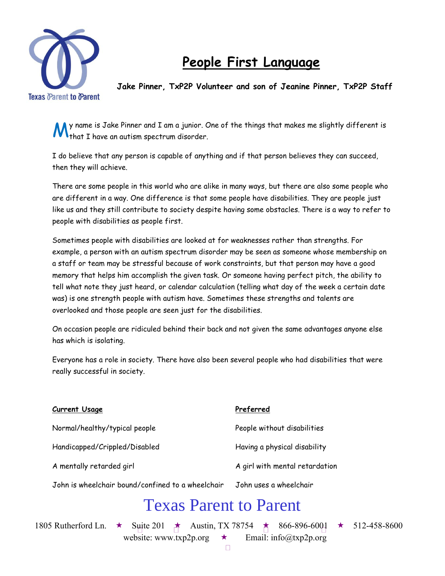

## **People First Language**

**Jake Pinner, TxP2P Volunteer and son of Jeanine Pinner, TxP2P Staff** 

y name is Jake Pinner and I am a junior. One of the things that makes me slightly different is that I have an autism spectrum disorder. M

I do believe that any person is capable of anything and if that person believes they can succeed, then they will achieve.

There are some people in this world who are alike in many ways, but there are also some people who are different in a way. One difference is that some people have disabilities. They are people just like us and they still contribute to society despite having some obstacles. There is a way to refer to people with disabilities as people first.

Sometimes people with disabilities are looked at for weaknesses rather than strengths. For example, a person with an autism spectrum disorder may be seen as someone whose membership on a staff or team may be stressful because of work constraints, but that person may have a good memory that helps him accomplish the given task. Or someone having perfect pitch, the ability to tell what note they just heard, or calendar calculation (telling what day of the week a certain date was) is one strength people with autism have. Sometimes these strengths and talents are overlooked and those people are seen just for the disabilities.

On occasion people are ridiculed behind their back and not given the same advantages anyone else has which is isolating.

Everyone has a role in society. There have also been several people who had disabilities that were really successful in society.

| Current Usage                                     | Preferred                      |
|---------------------------------------------------|--------------------------------|
| Normal/healthy/typical people                     | People without disabilities    |
| Handicapped/Crippled/Disabled                     | Having a physical disability   |
| A mentally retarded girl                          | A girl with mental retardation |
| John is wheelchair bound/confined to a wheelchair | John uses a wheelchair         |
| <b>Texas Parent to Parent</b>                     |                                |

1805 Rutherford Ln. ★ Suite 201 ★ Austin, TX 78754 ★ 866-896-6001 ★ 512-458-8600

website: www.txp2p.org  $\star$  Email: info@txp2p.org

 $\Box$